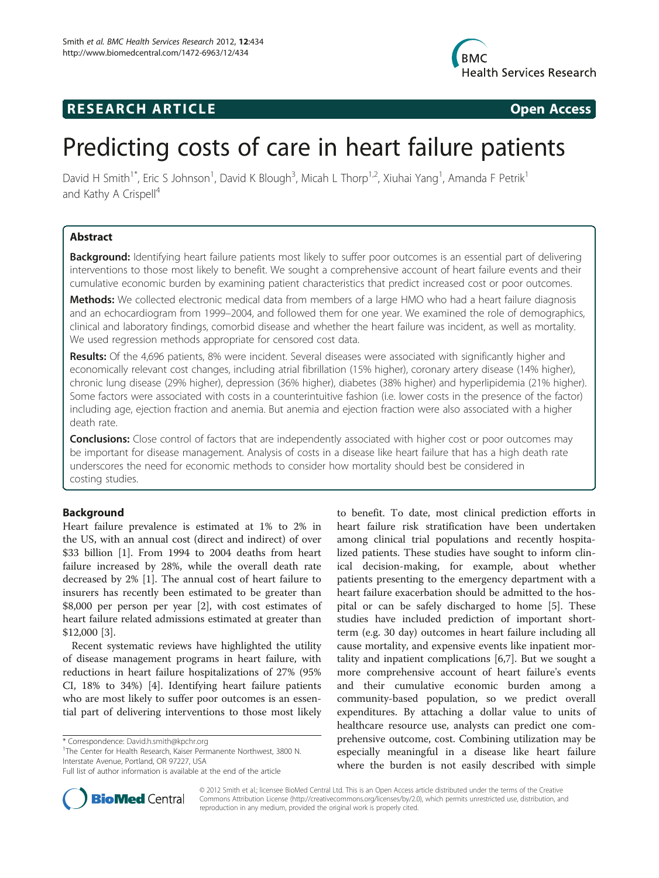

# **RESEARCH ARTICLE Example 2014 CONSIDERING CONSIDERING CONSIDERING CONSIDERING CONSIDERING CONSIDERING CONSIDERING CONSIDERING CONSIDERING CONSIDERING CONSIDERING CONSIDERING CONSIDERING CONSIDERING CONSIDERING CONSIDE**



# Predicting costs of care in heart failure patients

David H Smith<sup>1\*</sup>, Eric S Johnson<sup>1</sup>, David K Blough<sup>3</sup>, Micah L Thorp<sup>1,2</sup>, Xiuhai Yang<sup>1</sup>, Amanda F Petrik<sup>1</sup> and Kathy A Crispell<sup>4</sup>

# Abstract

**Background:** Identifying heart failure patients most likely to suffer poor outcomes is an essential part of delivering interventions to those most likely to benefit. We sought a comprehensive account of heart failure events and their cumulative economic burden by examining patient characteristics that predict increased cost or poor outcomes.

Methods: We collected electronic medical data from members of a large HMO who had a heart failure diagnosis and an echocardiogram from 1999–2004, and followed them for one year. We examined the role of demographics, clinical and laboratory findings, comorbid disease and whether the heart failure was incident, as well as mortality. We used regression methods appropriate for censored cost data.

Results: Of the 4,696 patients, 8% were incident. Several diseases were associated with significantly higher and economically relevant cost changes, including atrial fibrillation (15% higher), coronary artery disease (14% higher), chronic lung disease (29% higher), depression (36% higher), diabetes (38% higher) and hyperlipidemia (21% higher). Some factors were associated with costs in a counterintuitive fashion (i.e. lower costs in the presence of the factor) including age, ejection fraction and anemia. But anemia and ejection fraction were also associated with a higher death rate.

**Conclusions:** Close control of factors that are independently associated with higher cost or poor outcomes may be important for disease management. Analysis of costs in a disease like heart failure that has a high death rate underscores the need for economic methods to consider how mortality should best be considered in costing studies.

# Background

Heart failure prevalence is estimated at 1% to 2% in the US, with an annual cost (direct and indirect) of over \$33 billion [\[1\]](#page-7-0). From 1994 to 2004 deaths from heart failure increased by 28%, while the overall death rate decreased by 2% [[1\]](#page-7-0). The annual cost of heart failure to insurers has recently been estimated to be greater than \$8,000 per person per year [\[2](#page-7-0)], with cost estimates of heart failure related admissions estimated at greater than \$12,000 [\[3](#page-7-0)].

Recent systematic reviews have highlighted the utility of disease management programs in heart failure, with reductions in heart failure hospitalizations of 27% (95% CI, 18% to 34%) [\[4\]](#page-7-0). Identifying heart failure patients who are most likely to suffer poor outcomes is an essential part of delivering interventions to those most likely

<sup>1</sup>The Center for Health Research, Kaiser Permanente Northwest, 3800 N. Interstate Avenue, Portland, OR 97227, USA

to benefit. To date, most clinical prediction efforts in heart failure risk stratification have been undertaken among clinical trial populations and recently hospitalized patients. These studies have sought to inform clinical decision-making, for example, about whether patients presenting to the emergency department with a heart failure exacerbation should be admitted to the hospital or can be safely discharged to home [[5\]](#page-7-0). These studies have included prediction of important shortterm (e.g. 30 day) outcomes in heart failure including all cause mortality, and expensive events like inpatient mortality and inpatient complications [\[6,7](#page-7-0)]. But we sought a more comprehensive account of heart failure's events and their cumulative economic burden among a community-based population, so we predict overall expenditures. By attaching a dollar value to units of healthcare resource use, analysts can predict one comprehensive outcome, cost. Combining utilization may be especially meaningful in a disease like heart failure where the burden is not easily described with simple



© 2012 Smith et al.; licensee BioMed Central Ltd. This is an Open Access article distributed under the terms of the Creative Commons Attribution License [\(http://creativecommons.org/licenses/by/2.0\)](http://creativecommons.org/licenses/by/2.0), which permits unrestricted use, distribution, and reproduction in any medium, provided the original work is properly cited.

<sup>\*</sup> Correspondence: [David.h.smith@kpchr.org](mailto:David.h.smith@kpchr.org) <sup>1</sup>

Full list of author information is available at the end of the article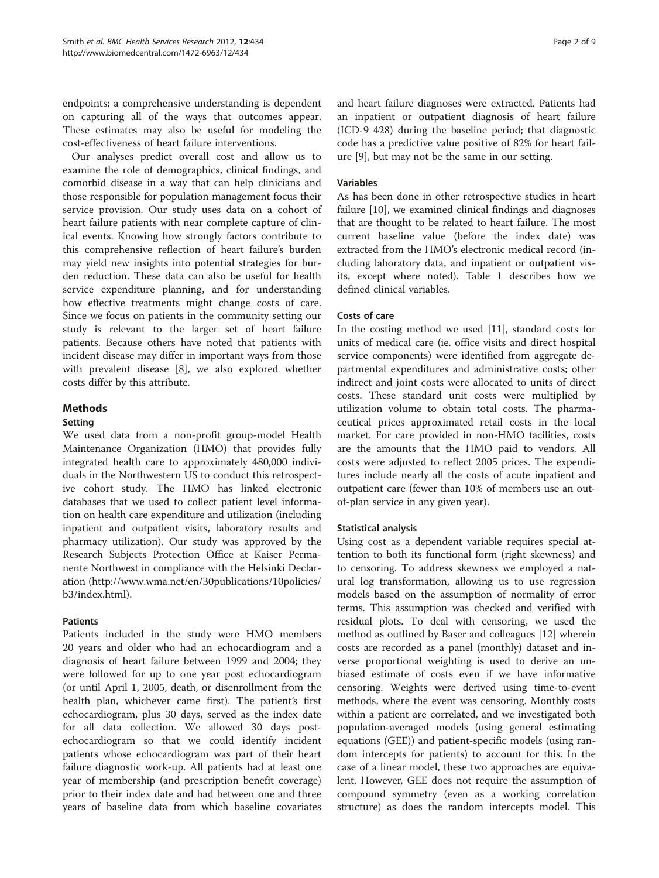endpoints; a comprehensive understanding is dependent on capturing all of the ways that outcomes appear. These estimates may also be useful for modeling the cost-effectiveness of heart failure interventions.

Our analyses predict overall cost and allow us to examine the role of demographics, clinical findings, and comorbid disease in a way that can help clinicians and those responsible for population management focus their service provision. Our study uses data on a cohort of heart failure patients with near complete capture of clinical events. Knowing how strongly factors contribute to this comprehensive reflection of heart failure's burden may yield new insights into potential strategies for burden reduction. These data can also be useful for health service expenditure planning, and for understanding how effective treatments might change costs of care. Since we focus on patients in the community setting our study is relevant to the larger set of heart failure patients. Because others have noted that patients with incident disease may differ in important ways from those with prevalent disease [[8\]](#page-7-0), we also explored whether costs differ by this attribute.

## Methods

### Setting

We used data from a non-profit group-model Health Maintenance Organization (HMO) that provides fully integrated health care to approximately 480,000 individuals in the Northwestern US to conduct this retrospective cohort study. The HMO has linked electronic databases that we used to collect patient level information on health care expenditure and utilization (including inpatient and outpatient visits, laboratory results and pharmacy utilization). Our study was approved by the Research Subjects Protection Office at Kaiser Permanente Northwest in compliance with the Helsinki Declaration [\(http://www.wma.net/en/30publications/10policies/](http://www.wma.net/en/30publications/10policies/b3/index.html) [b3/index.html\)](http://www.wma.net/en/30publications/10policies/b3/index.html).

## Patients

Patients included in the study were HMO members 20 years and older who had an echocardiogram and a diagnosis of heart failure between 1999 and 2004; they were followed for up to one year post echocardiogram (or until April 1, 2005, death, or disenrollment from the health plan, whichever came first). The patient's first echocardiogram, plus 30 days, served as the index date for all data collection. We allowed 30 days postechocardiogram so that we could identify incident patients whose echocardiogram was part of their heart failure diagnostic work-up. All patients had at least one year of membership (and prescription benefit coverage) prior to their index date and had between one and three years of baseline data from which baseline covariates and heart failure diagnoses were extracted. Patients had an inpatient or outpatient diagnosis of heart failure

(ICD-9 428) during the baseline period; that diagnostic code has a predictive value positive of 82% for heart failure [\[9](#page-7-0)], but may not be the same in our setting.

# Variables

As has been done in other retrospective studies in heart failure [\[10\]](#page-7-0), we examined clinical findings and diagnoses that are thought to be related to heart failure. The most current baseline value (before the index date) was extracted from the HMO's electronic medical record (including laboratory data, and inpatient or outpatient visits, except where noted). Table [1](#page-2-0) describes how we defined clinical variables.

### Costs of care

In the costing method we used [\[11\]](#page-7-0), standard costs for units of medical care (ie. office visits and direct hospital service components) were identified from aggregate departmental expenditures and administrative costs; other indirect and joint costs were allocated to units of direct costs. These standard unit costs were multiplied by utilization volume to obtain total costs. The pharmaceutical prices approximated retail costs in the local market. For care provided in non-HMO facilities, costs are the amounts that the HMO paid to vendors. All costs were adjusted to reflect 2005 prices. The expenditures include nearly all the costs of acute inpatient and outpatient care (fewer than 10% of members use an outof-plan service in any given year).

### Statistical analysis

Using cost as a dependent variable requires special attention to both its functional form (right skewness) and to censoring. To address skewness we employed a natural log transformation, allowing us to use regression models based on the assumption of normality of error terms. This assumption was checked and verified with residual plots. To deal with censoring, we used the method as outlined by Baser and colleagues [\[12\]](#page-7-0) wherein costs are recorded as a panel (monthly) dataset and inverse proportional weighting is used to derive an unbiased estimate of costs even if we have informative censoring. Weights were derived using time-to-event methods, where the event was censoring. Monthly costs within a patient are correlated, and we investigated both population-averaged models (using general estimating equations (GEE)) and patient-specific models (using random intercepts for patients) to account for this. In the case of a linear model, these two approaches are equivalent. However, GEE does not require the assumption of compound symmetry (even as a working correlation structure) as does the random intercepts model. This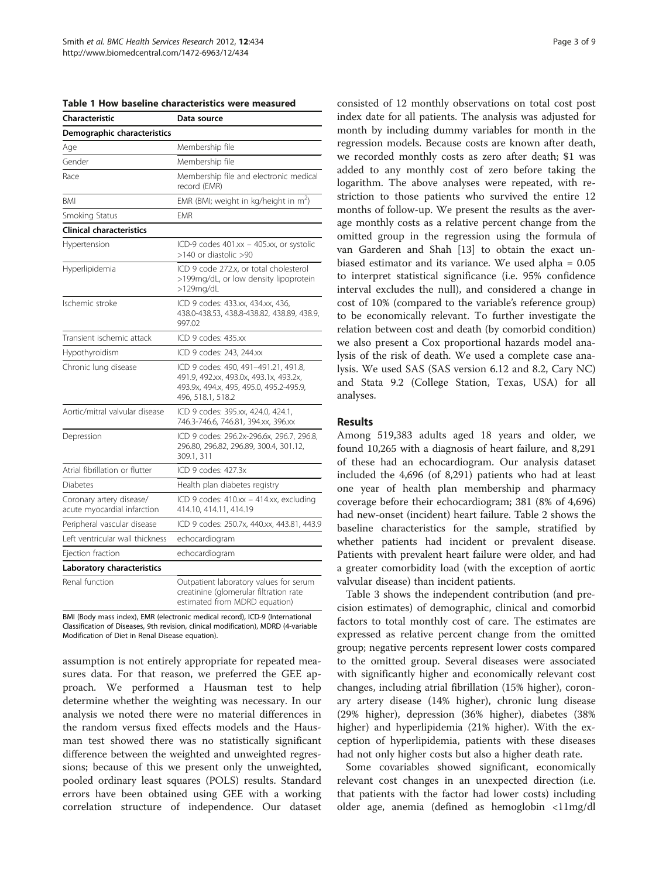| Characteristic                                          | Data source                                                                                                                                    |
|---------------------------------------------------------|------------------------------------------------------------------------------------------------------------------------------------------------|
| Demographic characteristics                             |                                                                                                                                                |
| Age                                                     | Membership file                                                                                                                                |
| Gender                                                  | Membership file                                                                                                                                |
| Race                                                    | Membership file and electronic medical<br>record (EMR)                                                                                         |
| <b>BMI</b>                                              | EMR (BMI; weight in kg/height in m <sup>2</sup> )                                                                                              |
| Smoking Status                                          | EMR                                                                                                                                            |
| <b>Clinical characteristics</b>                         |                                                                                                                                                |
| Hypertension                                            | ICD-9 codes 401.xx - 405.xx, or systolic<br>>140 or diastolic >90                                                                              |
| Hyperlipidemia                                          | ICD 9 code 272.x, or total cholesterol<br>>199mg/dL, or low density lipoprotein<br>>129mg/dL                                                   |
| Ischemic stroke                                         | ICD 9 codes: 433.xx, 434.xx, 436,<br>438.0-438.53, 438.8-438.82, 438.89, 438.9,<br>997.02                                                      |
| Transient ischemic attack                               | ICD 9 codes: 435.xx                                                                                                                            |
| Hypothyroidism                                          | ICD 9 codes: 243, 244.xx                                                                                                                       |
| Chronic lung disease                                    | ICD 9 codes: 490, 491-491.21, 491.8,<br>491.9, 492.xx, 493.0x, 493.1x, 493.2x,<br>493.9x, 494.x, 495, 495.0, 495.2-495.9,<br>496, 518.1, 518.2 |
| Aortic/mitral valvular disease                          | ICD 9 codes: 395.xx, 424.0, 424.1,<br>746.3-746.6, 746.81, 394.xx, 396.xx                                                                      |
| Depression                                              | ICD 9 codes: 296.2x-296.6x, 296.7, 296.8,<br>296.80, 296.82, 296.89, 300.4, 301.12,<br>309.1, 311                                              |
| Atrial fibrillation or flutter                          | ICD 9 codes: 427.3x                                                                                                                            |
| <b>Diabetes</b>                                         | Health plan diabetes registry                                                                                                                  |
| Coronary artery disease/<br>acute myocardial infarction | ICD 9 codes: 410.xx - 414.xx, excluding<br>414.10, 414.11, 414.19                                                                              |
| Peripheral vascular disease                             | ICD 9 codes: 250.7x, 440.xx, 443.81, 443.9                                                                                                     |
| Left ventricular wall thickness                         | echocardiogram                                                                                                                                 |
| Ejection fraction                                       | echocardiogram                                                                                                                                 |
| Laboratory characteristics                              |                                                                                                                                                |
| Renal function                                          | Outpatient laboratory values for serum<br>creatinine (glomerular filtration rate<br>estimated from MDRD equation)                              |

<span id="page-2-0"></span>Table 1 How baseline characteristics were measured

BMI (Body mass index), EMR (electronic medical record), ICD-9 (International Classification of Diseases, 9th revision, clinical modification), MDRD (4-variable Modification of Diet in Renal Disease equation).

assumption is not entirely appropriate for repeated measures data. For that reason, we preferred the GEE approach. We performed a Hausman test to help determine whether the weighting was necessary. In our analysis we noted there were no material differences in the random versus fixed effects models and the Hausman test showed there was no statistically significant difference between the weighted and unweighted regressions; because of this we present only the unweighted, pooled ordinary least squares (POLS) results. Standard errors have been obtained using GEE with a working correlation structure of independence. Our dataset

consisted of 12 monthly observations on total cost post index date for all patients. The analysis was adjusted for month by including dummy variables for month in the regression models. Because costs are known after death, we recorded monthly costs as zero after death; \$1 was added to any monthly cost of zero before taking the logarithm. The above analyses were repeated, with restriction to those patients who survived the entire 12 months of follow-up. We present the results as the average monthly costs as a relative percent change from the omitted group in the regression using the formula of van Garderen and Shah [[13\]](#page-7-0) to obtain the exact unbiased estimator and its variance. We used alpha = 0.05 to interpret statistical significance (i.e. 95% confidence interval excludes the null), and considered a change in cost of 10% (compared to the variable's reference group) to be economically relevant. To further investigate the relation between cost and death (by comorbid condition) we also present a Cox proportional hazards model analysis of the risk of death. We used a complete case analysis. We used SAS (SAS version 6.12 and 8.2, Cary NC) and Stata 9.2 (College Station, Texas, USA) for all analyses.

### Results

Among 519,383 adults aged 18 years and older, we found 10,265 with a diagnosis of heart failure, and 8,291 of these had an echocardiogram. Our analysis dataset included the 4,696 (of 8,291) patients who had at least one year of health plan membership and pharmacy coverage before their echocardiogram; 381 (8% of 4,696) had new-onset (incident) heart failure. Table [2](#page-3-0) shows the baseline characteristics for the sample, stratified by whether patients had incident or prevalent disease. Patients with prevalent heart failure were older, and had a greater comorbidity load (with the exception of aortic valvular disease) than incident patients.

Table [3](#page-4-0) shows the independent contribution (and precision estimates) of demographic, clinical and comorbid factors to total monthly cost of care. The estimates are expressed as relative percent change from the omitted group; negative percents represent lower costs compared to the omitted group. Several diseases were associated with significantly higher and economically relevant cost changes, including atrial fibrillation (15% higher), coronary artery disease (14% higher), chronic lung disease (29% higher), depression (36% higher), diabetes (38% higher) and hyperlipidemia (21% higher). With the exception of hyperlipidemia, patients with these diseases had not only higher costs but also a higher death rate.

Some covariables showed significant, economically relevant cost changes in an unexpected direction (i.e. that patients with the factor had lower costs) including older age, anemia (defined as hemoglobin <11mg/dl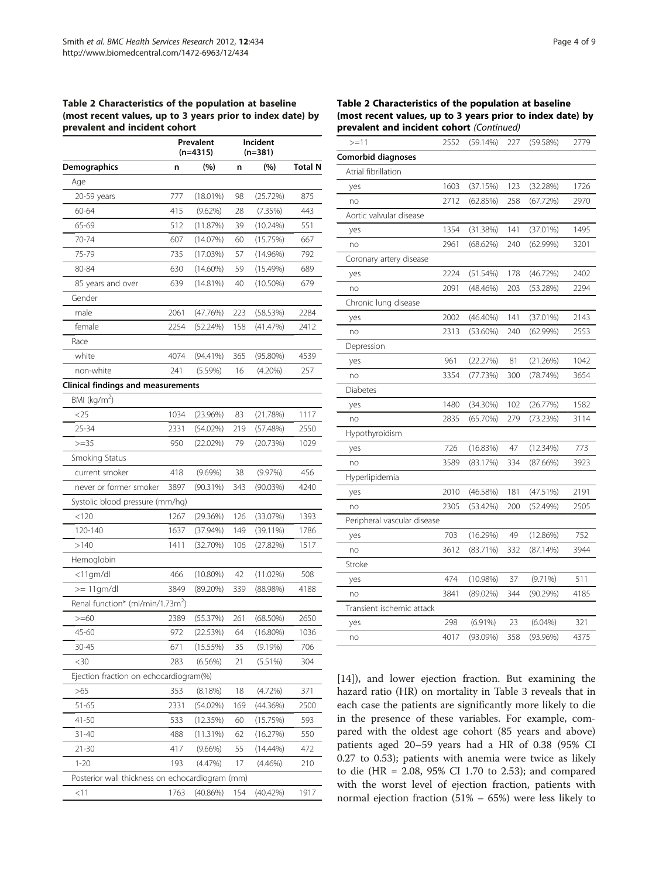### <span id="page-3-0"></span>Table 2 Characteristics of the population at baseline (most recent values, up to 3 years prior to index date) by prevalent and incident cohort

|                                                 |      | Prevalent<br>$(n=4315)$ | Incident<br>$(n=381)$ |             |                |
|-------------------------------------------------|------|-------------------------|-----------------------|-------------|----------------|
| Demographics                                    | n    | (%)                     | n                     | (%)         | <b>Total N</b> |
| Age                                             |      |                         |                       |             |                |
| 20-59 years                                     | 777  | $(18.01\%)$             | 98                    | (25.72%)    | 875            |
| 60-64                                           | 415  | $(9.62\%)$              | 28                    | (7.35%)     | 443            |
| 65-69                                           | 512  | (11.87%)                | 39                    | (10.24%)    | 551            |
| 70-74                                           | 607  | (14.07%)                | 60                    | (15.75%)    | 667            |
| 75-79                                           | 735  | (17.03%)                | 57                    | $(14.96\%)$ | 792            |
| 80-84                                           | 630  | $(14.60\%)$             | 59                    | (15.49%)    | 689            |
| 85 years and over                               | 639  | (14.81%)                | 40                    | $(10.50\%)$ | 679            |
| Gender                                          |      |                         |                       |             |                |
| male                                            | 2061 | (47.76%)                | 223                   | (58.53%)    | 2284           |
| female                                          | 2254 | (52.24%)                | 158                   | (41.47%)    | 2412           |
| Race                                            |      |                         |                       |             |                |
| white                                           | 4074 | $(94.41\%)$             | 365                   | $(95.80\%)$ | 4539           |
| non-white                                       | 241  | $(5.59\%)$              | 16                    | $(4.20\%)$  | 257            |
| <b>Clinical findings and measurements</b>       |      |                         |                       |             |                |
| BMI (kg/m <sup>2</sup> )                        |      |                         |                       |             |                |
| <25                                             | 1034 | (23.96%)                | 83                    | (21.78%)    | 1117           |
| $25 - 34$                                       | 2331 | (54.02%)                | 219                   | (57.48%)    | 2550           |
| $>=35$                                          | 950  | (22.02%)                | 79                    | (20.73%)    | 1029           |
| Smoking Status                                  |      |                         |                       |             |                |
| current smoker                                  | 418  | $(9.69\%)$              | 38                    | (9.97%)     | 456            |
| never or former smoker                          | 3897 | $(90.31\%)$             | 343                   | (90.03%)    | 4240           |
| Systolic blood pressure (mm/hg)                 |      |                         |                       |             |                |
| < 120                                           | 1267 | (29.36%)                | 126                   | (33.07%)    | 1393           |
| 120-140                                         | 1637 | $(37.94\%)$             | 149                   | (39.11%)    | 1786           |
| >140                                            | 1411 | (32.70%)                | 106                   | (27.82%)    | 1517           |
| Hemoglobin                                      |      |                         |                       |             |                |
| $<$ 11gm/dl                                     | 466  | $(10.80\%)$             | 42                    | (11.02%)    | 508            |
| $>=$ 11gm/dl                                    | 3849 | (89.20%)                | 339                   | $(88.98\%)$ | 4188           |
| Renal function* (ml/min/1.73m <sup>2</sup> )    |      |                         |                       |             |                |
| $>= 60$                                         | 2389 | (55.37%)                | 261                   | $(68.50\%)$ | 2650           |
| 45-60                                           | 972  | (22.53%)                | 64                    | $(16.80\%)$ | 1036           |
| $30 - 45$                                       | 671  | (15.55%)                | 35                    | (9.19%)     | 706            |
| $30$                                            | 283  | (6.56%)                 | 21                    | (5.51%)     | 304            |
| Ejection fraction on echocardiogram(%)          |      |                         |                       |             |                |
| >65                                             | 353  | (8.18%)                 | 18                    | (4.72%)     | 371            |
| $51 - 65$                                       | 2331 | (54.02%)                | 169                   | (44.36%)    | 2500           |
| $41 - 50$                                       | 533  | (12.35%)                | 60                    | (15.75%)    | 593            |
| $31 - 40$                                       | 488  | (11.31%)                | 62                    | (16.27%)    | 550            |
| 21-30                                           | 417  | $(9.66\%)$              | 55                    | $(14.44\%)$ | 472            |
| $1 - 20$                                        | 193  | (4.47%)                 | 17                    | $(4.46\%)$  | 210            |
| Posterior wall thickness on echocardiogram (mm) |      |                         |                       |             |                |
| < 11                                            | 1763 | (40.86%)                | 154                   | (40.42%)    | 1917           |

### Table 2 Characteristics of the population at baseline (most recent values, up to 3 years prior to index date) by prevalent and incident cohort (Continued)

| $>=11$                      | 2552 | (59.14%)    | 227 | (59.58%)   | 2779 |
|-----------------------------|------|-------------|-----|------------|------|
| Comorbid diagnoses          |      |             |     |            |      |
| Atrial fibrillation         |      |             |     |            |      |
| yes                         | 1603 | (37.15%)    | 123 | (32.28%)   | 1726 |
| no                          | 2712 | (62.85%)    | 258 | (67.72%)   | 2970 |
| Aortic valvular disease     |      |             |     |            |      |
| yes                         | 1354 | (31.38%)    | 141 | (37.01%)   | 1495 |
| no                          | 2961 | (68.62%)    | 240 | (62.99%)   | 3201 |
| Coronary artery disease     |      |             |     |            |      |
| yes                         | 2224 | (51.54%)    | 178 | (46.72%)   | 2402 |
| no                          | 2091 | (48.46%)    | 203 | (53.28%)   | 2294 |
| Chronic lung disease        |      |             |     |            |      |
| yes                         | 2002 | (46.40%)    | 141 | (37.01%)   | 2143 |
| no                          | 2313 | $(53.60\%)$ | 240 | (62.99%)   | 2553 |
| Depression                  |      |             |     |            |      |
| yes                         | 961  | (22.27%)    | 81  | (21.26%)   | 1042 |
| no                          | 3354 | (77.73%)    | 300 | (78.74%)   | 3654 |
| Diabetes                    |      |             |     |            |      |
| yes                         | 1480 | $(34.30\%)$ | 102 | (26.77%)   | 1582 |
| no                          | 2835 | (65.70%)    | 279 | (73.23%)   | 3114 |
| Hypothyroidism              |      |             |     |            |      |
| yes                         | 726  | (16.83%)    | 47  | (12.34%)   | 773  |
| no                          | 3589 | (83.17%)    | 334 | (87.66%)   | 3923 |
| Hyperlipidemia              |      |             |     |            |      |
| yes                         | 2010 | (46.58%)    | 181 | (47.51%)   | 2191 |
| no                          | 2305 | (53.42%)    | 200 | (52.49%)   | 2505 |
| Peripheral vascular disease |      |             |     |            |      |
| yes                         | 703  | (16.29%)    | 49  | (12.86%)   | 752  |
| no                          | 3612 | (83.71%)    | 332 | (87.14%)   | 3944 |
| Stroke                      |      |             |     |            |      |
| yes                         | 474  | (10.98%)    | 37  | $(9.71\%)$ | 511  |
| no                          | 3841 | $(89.02\%)$ | 344 | (90.29%)   | 4185 |
| Transient ischemic attack   |      |             |     |            |      |
| yes                         | 298  | $(6.91\%)$  | 23  | $(6.04\%)$ | 321  |
| no                          | 4017 | (93.09%)    | 358 | (93.96%)   | 4375 |

[[14\]](#page-8-0)), and lower ejection fraction. But examining the hazard ratio (HR) on mortality in Table [3](#page-4-0) reveals that in each case the patients are significantly more likely to die in the presence of these variables. For example, compared with the oldest age cohort (85 years and above) patients aged 20–59 years had a HR of 0.38 (95% CI 0.27 to 0.53); patients with anemia were twice as likely to die (HR = 2.08, 95% CI 1.70 to 2.53); and compared with the worst level of ejection fraction, patients with normal ejection fraction (51% – 65%) were less likely to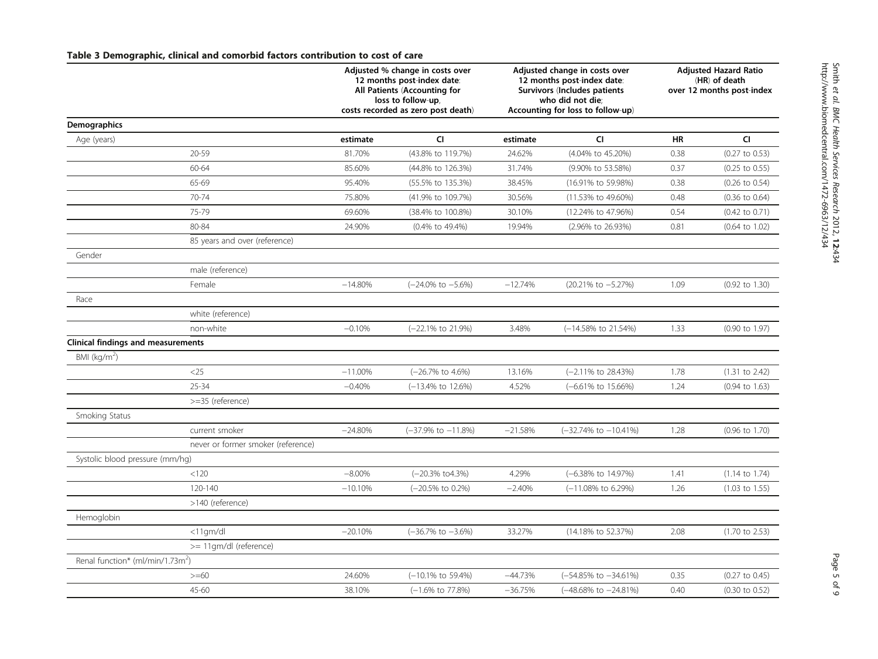# <span id="page-4-0"></span>Table 3 Demographic, clinical and comorbid factors contribution to cost of care

|                                              |                                    | Adjusted % change in costs over<br>12 months post-index date:<br>All Patients (Accounting for<br>loss to follow-up, |                                    | Adjusted change in costs over<br>12 months post-index date:<br>Survivors (Includes patients<br>who did not die; |                                   | <b>Adjusted Hazard Ratio</b><br>(HR) of death<br>over 12 months post-index |                           |
|----------------------------------------------|------------------------------------|---------------------------------------------------------------------------------------------------------------------|------------------------------------|-----------------------------------------------------------------------------------------------------------------|-----------------------------------|----------------------------------------------------------------------------|---------------------------|
|                                              |                                    |                                                                                                                     | costs recorded as zero post death) | Accounting for loss to follow-up)                                                                               |                                   |                                                                            |                           |
| Demographics                                 |                                    |                                                                                                                     | <b>CI</b>                          |                                                                                                                 | <b>CI</b>                         | <b>HR</b>                                                                  | <b>CI</b>                 |
| Age (years)                                  |                                    | estimate                                                                                                            |                                    | estimate                                                                                                        |                                   |                                                                            |                           |
|                                              | 20-59                              | 81.70%                                                                                                              | (43.8% to 119.7%)                  | 24.62%                                                                                                          | (4.04% to 45.20%)                 | 0.38                                                                       | $(0.27$ to $0.53)$        |
|                                              | 60-64                              | 85.60%                                                                                                              | (44.8% to 126.3%)                  | 31.74%                                                                                                          | (9.90% to 53.58%)                 | 0.37                                                                       | $(0.25 \text{ to } 0.55)$ |
|                                              | 65-69                              | 95.40%                                                                                                              | (55.5% to 135.3%)                  | 38.45%                                                                                                          | (16.91% to 59.98%)                | 0.38                                                                       | $(0.26 \text{ to } 0.54)$ |
|                                              | 70-74                              | 75.80%                                                                                                              | (41.9% to 109.7%)                  | 30.56%                                                                                                          | (11.53% to 49.60%)                | 0.48                                                                       | $(0.36 \text{ to } 0.64)$ |
|                                              | 75-79                              | 69.60%                                                                                                              | (38.4% to 100.8%)                  | 30.10%                                                                                                          | (12.24% to 47.96%)                | 0.54                                                                       | $(0.42 \text{ to } 0.71)$ |
|                                              | 80-84                              | 24.90%                                                                                                              | (0.4% to 49.4%)                    | 19.94%                                                                                                          | (2.96% to 26.93%)                 | 0.81                                                                       | $(0.64 \text{ to } 1.02)$ |
|                                              | 85 years and over (reference)      |                                                                                                                     |                                    |                                                                                                                 |                                   |                                                                            |                           |
| Gender                                       |                                    |                                                                                                                     |                                    |                                                                                                                 |                                   |                                                                            |                           |
|                                              | male (reference)                   |                                                                                                                     |                                    |                                                                                                                 |                                   |                                                                            |                           |
|                                              | Female                             | $-14.80%$                                                                                                           | $(-24.0\% \text{ to } -5.6\%)$     | $-12.74%$                                                                                                       | (20.21% to -5.27%)                | 1.09                                                                       | (0.92 to 1.30)            |
| Race                                         |                                    |                                                                                                                     |                                    |                                                                                                                 |                                   |                                                                            |                           |
|                                              | white (reference)                  |                                                                                                                     |                                    |                                                                                                                 |                                   |                                                                            |                           |
|                                              | non-white                          | $-0.10%$                                                                                                            | (-22.1% to 21.9%)                  | 3.48%                                                                                                           | (-14.58% to 21.54%)               | 1.33                                                                       | $(0.90 \text{ to } 1.97)$ |
| <b>Clinical findings and measurements</b>    |                                    |                                                                                                                     |                                    |                                                                                                                 |                                   |                                                                            |                           |
| BMI ( $kg/m2$ )                              |                                    |                                                                                                                     |                                    |                                                                                                                 |                                   |                                                                            |                           |
|                                              | $<$ 25                             | $-11.00%$                                                                                                           | (-26.7% to 4.6%)                   | 13.16%                                                                                                          | (-2.11% to 28.43%)                | 1.78                                                                       | $(1.31$ to 2.42)          |
|                                              | $25 - 34$                          | $-0.40%$                                                                                                            | (-13.4% to 12.6%)                  | 4.52%                                                                                                           | $(-6.61\% \text{ to } 15.66\%)$   | 1.24                                                                       | $(0.94 \text{ to } 1.63)$ |
|                                              | >=35 (reference)                   |                                                                                                                     |                                    |                                                                                                                 |                                   |                                                                            |                           |
| Smoking Status                               |                                    |                                                                                                                     |                                    |                                                                                                                 |                                   |                                                                            |                           |
|                                              | current smoker                     | $-24.80%$                                                                                                           | $(-37.9\% \text{ to } -11.8\%)$    | $-21.58%$                                                                                                       | $(-32.74\% \text{ to } -10.41\%)$ | 1.28                                                                       | $(0.96 \text{ to } 1.70)$ |
|                                              | never or former smoker (reference) |                                                                                                                     |                                    |                                                                                                                 |                                   |                                                                            |                           |
| Systolic blood pressure (mm/hg)              |                                    |                                                                                                                     |                                    |                                                                                                                 |                                   |                                                                            |                           |
|                                              | < 120                              | $-8.00\%$                                                                                                           | (-20.3% to 4.3%)                   | 4.29%                                                                                                           | (-6.38% to 14.97%)                | 1.41                                                                       | $(1.14 \text{ to } 1.74)$ |
|                                              | 120-140                            | $-10.10%$                                                                                                           | (-20.5% to 0.2%)                   | $-2.40%$                                                                                                        | (-11.08% to 6.29%)                | 1.26                                                                       | $(1.03 \text{ to } 1.55)$ |
|                                              | >140 (reference)                   |                                                                                                                     |                                    |                                                                                                                 |                                   |                                                                            |                           |
| Hemoglobin                                   |                                    |                                                                                                                     |                                    |                                                                                                                 |                                   |                                                                            |                           |
|                                              | <11gm/dl                           | $-20.10%$                                                                                                           | $(-36.7\% \text{ to } -3.6\%)$     | 33.27%                                                                                                          | (14.18% to 52.37%)                | 2.08                                                                       | $(1.70 \text{ to } 2.53)$ |
|                                              | >= 11gm/dl (reference)             |                                                                                                                     |                                    |                                                                                                                 |                                   |                                                                            |                           |
| Renal function* (ml/min/1.73m <sup>2</sup> ) |                                    |                                                                                                                     |                                    |                                                                                                                 |                                   |                                                                            |                           |
|                                              | $>= 60$                            | 24.60%                                                                                                              | $(-10.1\% \text{ to } 59.4\%)$     | $-44.73%$                                                                                                       | (-54.85% to -34.61%)              | 0.35                                                                       | $(0.27 \text{ to } 0.45)$ |
|                                              | $45 - 60$                          | 38.10%                                                                                                              | (-1.6% to 77.8%)                   | $-36.75%$                                                                                                       | (-48.68% to -24.81%)              | 0.40                                                                       | $(0.30 \text{ to } 0.52)$ |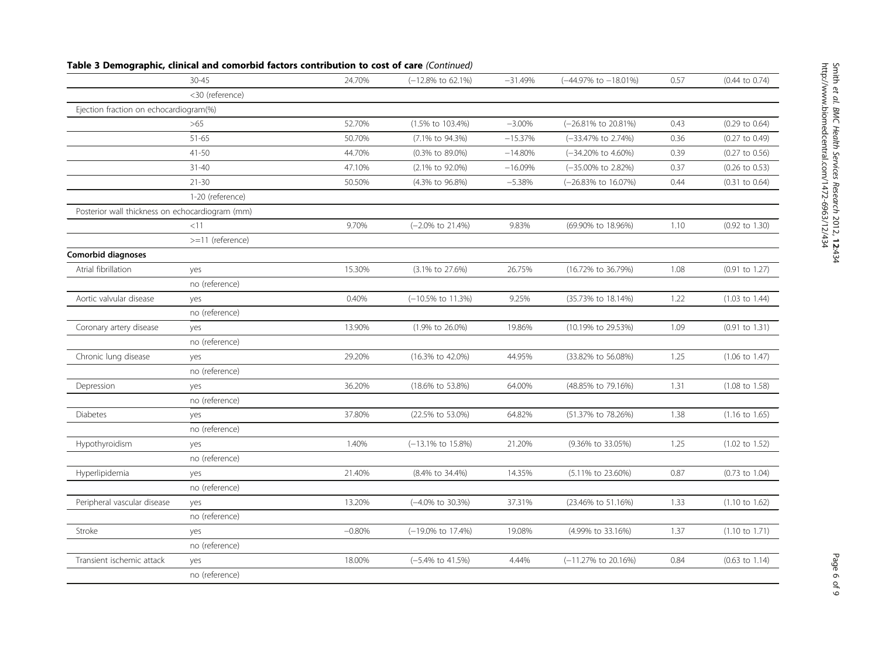| <30 (reference)<br>Ejection fraction on echocardiogram(%)<br>52.70%<br>$-3.00%$<br>>65<br>(1.5% to 103.4%)<br>(-26.81% to 20.81%)<br>$(0.29 \text{ to } 0.64)$<br>0.43<br>$51 - 65$<br>(-33.47% to 2.74%)<br>50.70%<br>(7.1% to 94.3%)<br>$-15.37%$<br>0.36<br>$(0.27 \text{ to } 0.49)$<br>$41 - 50$<br>44.70%<br>(0.3% to 89.0%)<br>$-14.80%$<br>(-34.20% to 4.60%)<br>0.39<br>$(0.27 \text{ to } 0.56)$<br>$31 - 40$<br>47.10%<br>(2.1% to 92.0%)<br>$-16.09%$<br>(-35.00% to 2.82%)<br>0.37<br>$(0.26 \text{ to } 0.53)$<br>$21 - 30$<br>50.50%<br>$-5.38%$<br>(-26.83% to 16.07%)<br>(4.3% to 96.8%)<br>0.44<br>$(0.31$ to $0.64)$<br>1-20 (reference)<br>Posterior wall thickness on echocardiogram (mm)<br><11<br>9.70%<br>(-2.0% to 21.4%)<br>9.83%<br>(69.90% to 18.96%)<br>$(0.92 \text{ to } 1.30)$<br>1.10<br>>=11 (reference)<br>Comorbid diagnoses<br>Atrial fibrillation<br>15.30%<br>26.75%<br>(16.72% to 36.79%)<br>1.08<br>$(0.91$ to $1.27)$<br>(3.1% to 27.6%)<br>yes<br>no (reference)<br>Aortic valvular disease<br>0.40%<br>(-10.5% to 11.3%)<br>9.25%<br>(35.73% to 18.14%)<br>1.22<br>$(1.03 \text{ to } 1.44)$<br>yes<br>no (reference)<br>Coronary artery disease<br>13.90%<br>(1.9% to 26.0%)<br>19.86%<br>(10.19% to 29.53%)<br>1.09<br>$(0.91$ to $1.31)$<br>yes<br>no (reference)<br>Chronic lung disease<br>29.20%<br>(16.3% to 42.0%)<br>44.95%<br>(33.82% to 56.08%)<br>1.25<br>$(1.06 \text{ to } 1.47)$<br>yes<br>no (reference)<br>36.20%<br>(18.6% to 53.8%)<br>64.00%<br>(48.85% to 79.16%)<br>1.31<br>$(1.08 \text{ to } 1.58)$<br>Depression<br>yes<br>no (reference)<br>37.80%<br>(22.5% to 53.0%)<br>64.82%<br>(51.37% to 78.26%)<br>1.38<br><b>Diabetes</b><br>$(1.16 \text{ to } 1.65)$<br>yes<br>no (reference)<br>21.20%<br>Hypothyroidism<br>1.40%<br>(-13.1% to 15.8%)<br>(9.36% to 33.05%)<br>1.25<br>$(1.02 \text{ to } 1.52)$<br>yes<br>no (reference)<br>21.40%<br>14.35%<br>0.87<br>Hyperlipidemia<br>(8.4% to 34.4%)<br>(5.11% to 23.60%)<br>$(0.73 \text{ to } 1.04)$<br>yes<br>no (reference)<br>Peripheral vascular disease<br>13.20%<br>37.31%<br>1.33<br>(-4.0% to 30.3%)<br>(23.46% to 51.16%)<br>$(1.10 \text{ to } 1.62)$<br>yes<br>no (reference)<br>Stroke<br>(-19.0% to 17.4%)<br>19.08%<br>$-0.80%$<br>(4.99% to 33.16%)<br>1.37<br>$(1.10 \text{ to } 1.71)$<br>yes<br>no (reference) |                           | 30-45 | 24.70% | $(-12.8\% \text{ to } 62.1\%)$ | $-31.49%$ | (-44.97% to -18.01%) | 0.57 | $(0.44 \text{ to } 0.74)$ |
|-----------------------------------------------------------------------------------------------------------------------------------------------------------------------------------------------------------------------------------------------------------------------------------------------------------------------------------------------------------------------------------------------------------------------------------------------------------------------------------------------------------------------------------------------------------------------------------------------------------------------------------------------------------------------------------------------------------------------------------------------------------------------------------------------------------------------------------------------------------------------------------------------------------------------------------------------------------------------------------------------------------------------------------------------------------------------------------------------------------------------------------------------------------------------------------------------------------------------------------------------------------------------------------------------------------------------------------------------------------------------------------------------------------------------------------------------------------------------------------------------------------------------------------------------------------------------------------------------------------------------------------------------------------------------------------------------------------------------------------------------------------------------------------------------------------------------------------------------------------------------------------------------------------------------------------------------------------------------------------------------------------------------------------------------------------------------------------------------------------------------------------------------------------------------------------------------------------------------------------------------------------------------------------------------------------------------------------------------------------|---------------------------|-------|--------|--------------------------------|-----------|----------------------|------|---------------------------|
|                                                                                                                                                                                                                                                                                                                                                                                                                                                                                                                                                                                                                                                                                                                                                                                                                                                                                                                                                                                                                                                                                                                                                                                                                                                                                                                                                                                                                                                                                                                                                                                                                                                                                                                                                                                                                                                                                                                                                                                                                                                                                                                                                                                                                                                                                                                                                           |                           |       |        |                                |           |                      |      |                           |
|                                                                                                                                                                                                                                                                                                                                                                                                                                                                                                                                                                                                                                                                                                                                                                                                                                                                                                                                                                                                                                                                                                                                                                                                                                                                                                                                                                                                                                                                                                                                                                                                                                                                                                                                                                                                                                                                                                                                                                                                                                                                                                                                                                                                                                                                                                                                                           |                           |       |        |                                |           |                      |      |                           |
|                                                                                                                                                                                                                                                                                                                                                                                                                                                                                                                                                                                                                                                                                                                                                                                                                                                                                                                                                                                                                                                                                                                                                                                                                                                                                                                                                                                                                                                                                                                                                                                                                                                                                                                                                                                                                                                                                                                                                                                                                                                                                                                                                                                                                                                                                                                                                           |                           |       |        |                                |           |                      |      |                           |
|                                                                                                                                                                                                                                                                                                                                                                                                                                                                                                                                                                                                                                                                                                                                                                                                                                                                                                                                                                                                                                                                                                                                                                                                                                                                                                                                                                                                                                                                                                                                                                                                                                                                                                                                                                                                                                                                                                                                                                                                                                                                                                                                                                                                                                                                                                                                                           |                           |       |        |                                |           |                      |      |                           |
|                                                                                                                                                                                                                                                                                                                                                                                                                                                                                                                                                                                                                                                                                                                                                                                                                                                                                                                                                                                                                                                                                                                                                                                                                                                                                                                                                                                                                                                                                                                                                                                                                                                                                                                                                                                                                                                                                                                                                                                                                                                                                                                                                                                                                                                                                                                                                           |                           |       |        |                                |           |                      |      |                           |
|                                                                                                                                                                                                                                                                                                                                                                                                                                                                                                                                                                                                                                                                                                                                                                                                                                                                                                                                                                                                                                                                                                                                                                                                                                                                                                                                                                                                                                                                                                                                                                                                                                                                                                                                                                                                                                                                                                                                                                                                                                                                                                                                                                                                                                                                                                                                                           |                           |       |        |                                |           |                      |      |                           |
|                                                                                                                                                                                                                                                                                                                                                                                                                                                                                                                                                                                                                                                                                                                                                                                                                                                                                                                                                                                                                                                                                                                                                                                                                                                                                                                                                                                                                                                                                                                                                                                                                                                                                                                                                                                                                                                                                                                                                                                                                                                                                                                                                                                                                                                                                                                                                           |                           |       |        |                                |           |                      |      |                           |
|                                                                                                                                                                                                                                                                                                                                                                                                                                                                                                                                                                                                                                                                                                                                                                                                                                                                                                                                                                                                                                                                                                                                                                                                                                                                                                                                                                                                                                                                                                                                                                                                                                                                                                                                                                                                                                                                                                                                                                                                                                                                                                                                                                                                                                                                                                                                                           |                           |       |        |                                |           |                      |      |                           |
|                                                                                                                                                                                                                                                                                                                                                                                                                                                                                                                                                                                                                                                                                                                                                                                                                                                                                                                                                                                                                                                                                                                                                                                                                                                                                                                                                                                                                                                                                                                                                                                                                                                                                                                                                                                                                                                                                                                                                                                                                                                                                                                                                                                                                                                                                                                                                           |                           |       |        |                                |           |                      |      |                           |
|                                                                                                                                                                                                                                                                                                                                                                                                                                                                                                                                                                                                                                                                                                                                                                                                                                                                                                                                                                                                                                                                                                                                                                                                                                                                                                                                                                                                                                                                                                                                                                                                                                                                                                                                                                                                                                                                                                                                                                                                                                                                                                                                                                                                                                                                                                                                                           |                           |       |        |                                |           |                      |      |                           |
|                                                                                                                                                                                                                                                                                                                                                                                                                                                                                                                                                                                                                                                                                                                                                                                                                                                                                                                                                                                                                                                                                                                                                                                                                                                                                                                                                                                                                                                                                                                                                                                                                                                                                                                                                                                                                                                                                                                                                                                                                                                                                                                                                                                                                                                                                                                                                           |                           |       |        |                                |           |                      |      |                           |
|                                                                                                                                                                                                                                                                                                                                                                                                                                                                                                                                                                                                                                                                                                                                                                                                                                                                                                                                                                                                                                                                                                                                                                                                                                                                                                                                                                                                                                                                                                                                                                                                                                                                                                                                                                                                                                                                                                                                                                                                                                                                                                                                                                                                                                                                                                                                                           |                           |       |        |                                |           |                      |      |                           |
|                                                                                                                                                                                                                                                                                                                                                                                                                                                                                                                                                                                                                                                                                                                                                                                                                                                                                                                                                                                                                                                                                                                                                                                                                                                                                                                                                                                                                                                                                                                                                                                                                                                                                                                                                                                                                                                                                                                                                                                                                                                                                                                                                                                                                                                                                                                                                           |                           |       |        |                                |           |                      |      |                           |
|                                                                                                                                                                                                                                                                                                                                                                                                                                                                                                                                                                                                                                                                                                                                                                                                                                                                                                                                                                                                                                                                                                                                                                                                                                                                                                                                                                                                                                                                                                                                                                                                                                                                                                                                                                                                                                                                                                                                                                                                                                                                                                                                                                                                                                                                                                                                                           |                           |       |        |                                |           |                      |      |                           |
|                                                                                                                                                                                                                                                                                                                                                                                                                                                                                                                                                                                                                                                                                                                                                                                                                                                                                                                                                                                                                                                                                                                                                                                                                                                                                                                                                                                                                                                                                                                                                                                                                                                                                                                                                                                                                                                                                                                                                                                                                                                                                                                                                                                                                                                                                                                                                           |                           |       |        |                                |           |                      |      |                           |
|                                                                                                                                                                                                                                                                                                                                                                                                                                                                                                                                                                                                                                                                                                                                                                                                                                                                                                                                                                                                                                                                                                                                                                                                                                                                                                                                                                                                                                                                                                                                                                                                                                                                                                                                                                                                                                                                                                                                                                                                                                                                                                                                                                                                                                                                                                                                                           |                           |       |        |                                |           |                      |      |                           |
|                                                                                                                                                                                                                                                                                                                                                                                                                                                                                                                                                                                                                                                                                                                                                                                                                                                                                                                                                                                                                                                                                                                                                                                                                                                                                                                                                                                                                                                                                                                                                                                                                                                                                                                                                                                                                                                                                                                                                                                                                                                                                                                                                                                                                                                                                                                                                           |                           |       |        |                                |           |                      |      |                           |
|                                                                                                                                                                                                                                                                                                                                                                                                                                                                                                                                                                                                                                                                                                                                                                                                                                                                                                                                                                                                                                                                                                                                                                                                                                                                                                                                                                                                                                                                                                                                                                                                                                                                                                                                                                                                                                                                                                                                                                                                                                                                                                                                                                                                                                                                                                                                                           |                           |       |        |                                |           |                      |      |                           |
|                                                                                                                                                                                                                                                                                                                                                                                                                                                                                                                                                                                                                                                                                                                                                                                                                                                                                                                                                                                                                                                                                                                                                                                                                                                                                                                                                                                                                                                                                                                                                                                                                                                                                                                                                                                                                                                                                                                                                                                                                                                                                                                                                                                                                                                                                                                                                           |                           |       |        |                                |           |                      |      |                           |
|                                                                                                                                                                                                                                                                                                                                                                                                                                                                                                                                                                                                                                                                                                                                                                                                                                                                                                                                                                                                                                                                                                                                                                                                                                                                                                                                                                                                                                                                                                                                                                                                                                                                                                                                                                                                                                                                                                                                                                                                                                                                                                                                                                                                                                                                                                                                                           |                           |       |        |                                |           |                      |      |                           |
|                                                                                                                                                                                                                                                                                                                                                                                                                                                                                                                                                                                                                                                                                                                                                                                                                                                                                                                                                                                                                                                                                                                                                                                                                                                                                                                                                                                                                                                                                                                                                                                                                                                                                                                                                                                                                                                                                                                                                                                                                                                                                                                                                                                                                                                                                                                                                           |                           |       |        |                                |           |                      |      |                           |
|                                                                                                                                                                                                                                                                                                                                                                                                                                                                                                                                                                                                                                                                                                                                                                                                                                                                                                                                                                                                                                                                                                                                                                                                                                                                                                                                                                                                                                                                                                                                                                                                                                                                                                                                                                                                                                                                                                                                                                                                                                                                                                                                                                                                                                                                                                                                                           |                           |       |        |                                |           |                      |      |                           |
|                                                                                                                                                                                                                                                                                                                                                                                                                                                                                                                                                                                                                                                                                                                                                                                                                                                                                                                                                                                                                                                                                                                                                                                                                                                                                                                                                                                                                                                                                                                                                                                                                                                                                                                                                                                                                                                                                                                                                                                                                                                                                                                                                                                                                                                                                                                                                           |                           |       |        |                                |           |                      |      |                           |
|                                                                                                                                                                                                                                                                                                                                                                                                                                                                                                                                                                                                                                                                                                                                                                                                                                                                                                                                                                                                                                                                                                                                                                                                                                                                                                                                                                                                                                                                                                                                                                                                                                                                                                                                                                                                                                                                                                                                                                                                                                                                                                                                                                                                                                                                                                                                                           |                           |       |        |                                |           |                      |      |                           |
|                                                                                                                                                                                                                                                                                                                                                                                                                                                                                                                                                                                                                                                                                                                                                                                                                                                                                                                                                                                                                                                                                                                                                                                                                                                                                                                                                                                                                                                                                                                                                                                                                                                                                                                                                                                                                                                                                                                                                                                                                                                                                                                                                                                                                                                                                                                                                           |                           |       |        |                                |           |                      |      |                           |
|                                                                                                                                                                                                                                                                                                                                                                                                                                                                                                                                                                                                                                                                                                                                                                                                                                                                                                                                                                                                                                                                                                                                                                                                                                                                                                                                                                                                                                                                                                                                                                                                                                                                                                                                                                                                                                                                                                                                                                                                                                                                                                                                                                                                                                                                                                                                                           |                           |       |        |                                |           |                      |      |                           |
|                                                                                                                                                                                                                                                                                                                                                                                                                                                                                                                                                                                                                                                                                                                                                                                                                                                                                                                                                                                                                                                                                                                                                                                                                                                                                                                                                                                                                                                                                                                                                                                                                                                                                                                                                                                                                                                                                                                                                                                                                                                                                                                                                                                                                                                                                                                                                           |                           |       |        |                                |           |                      |      |                           |
|                                                                                                                                                                                                                                                                                                                                                                                                                                                                                                                                                                                                                                                                                                                                                                                                                                                                                                                                                                                                                                                                                                                                                                                                                                                                                                                                                                                                                                                                                                                                                                                                                                                                                                                                                                                                                                                                                                                                                                                                                                                                                                                                                                                                                                                                                                                                                           |                           |       |        |                                |           |                      |      |                           |
|                                                                                                                                                                                                                                                                                                                                                                                                                                                                                                                                                                                                                                                                                                                                                                                                                                                                                                                                                                                                                                                                                                                                                                                                                                                                                                                                                                                                                                                                                                                                                                                                                                                                                                                                                                                                                                                                                                                                                                                                                                                                                                                                                                                                                                                                                                                                                           |                           |       |        |                                |           |                      |      |                           |
|                                                                                                                                                                                                                                                                                                                                                                                                                                                                                                                                                                                                                                                                                                                                                                                                                                                                                                                                                                                                                                                                                                                                                                                                                                                                                                                                                                                                                                                                                                                                                                                                                                                                                                                                                                                                                                                                                                                                                                                                                                                                                                                                                                                                                                                                                                                                                           |                           |       |        |                                |           |                      |      |                           |
|                                                                                                                                                                                                                                                                                                                                                                                                                                                                                                                                                                                                                                                                                                                                                                                                                                                                                                                                                                                                                                                                                                                                                                                                                                                                                                                                                                                                                                                                                                                                                                                                                                                                                                                                                                                                                                                                                                                                                                                                                                                                                                                                                                                                                                                                                                                                                           |                           |       |        |                                |           |                      |      |                           |
|                                                                                                                                                                                                                                                                                                                                                                                                                                                                                                                                                                                                                                                                                                                                                                                                                                                                                                                                                                                                                                                                                                                                                                                                                                                                                                                                                                                                                                                                                                                                                                                                                                                                                                                                                                                                                                                                                                                                                                                                                                                                                                                                                                                                                                                                                                                                                           |                           |       |        |                                |           |                      |      |                           |
| yes                                                                                                                                                                                                                                                                                                                                                                                                                                                                                                                                                                                                                                                                                                                                                                                                                                                                                                                                                                                                                                                                                                                                                                                                                                                                                                                                                                                                                                                                                                                                                                                                                                                                                                                                                                                                                                                                                                                                                                                                                                                                                                                                                                                                                                                                                                                                                       | Transient ischemic attack |       | 18.00% | $(-5.4\% \text{ to } 41.5\%)$  | 4.44%     | (-11.27% to 20.16%)  | 0.84 | $(0.63$ to $1.14)$        |
| no (reference)                                                                                                                                                                                                                                                                                                                                                                                                                                                                                                                                                                                                                                                                                                                                                                                                                                                                                                                                                                                                                                                                                                                                                                                                                                                                                                                                                                                                                                                                                                                                                                                                                                                                                                                                                                                                                                                                                                                                                                                                                                                                                                                                                                                                                                                                                                                                            |                           |       |        |                                |           |                      |      |                           |

# Table 3 Demographic, clinical and comorbid factors contribution to cost of care (Continued)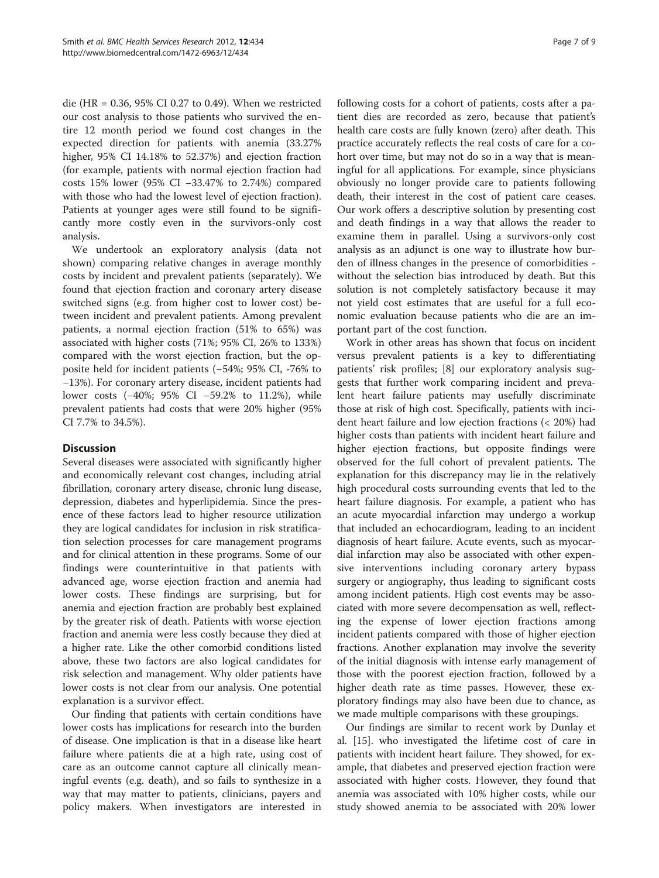die (HR = 0.36, 95% CI 0.27 to 0.49). When we restricted our cost analysis to those patients who survived the entire 12 month period we found cost changes in the expected direction for patients with anemia (33.27% higher, 95% CI 14.18% to 52.37%) and ejection fraction (for example, patients with normal ejection fraction had costs 15% lower (95% CI −33.47% to 2.74%) compared with those who had the lowest level of ejection fraction). Patients at younger ages were still found to be significantly more costly even in the survivors-only cost analysis.

We undertook an exploratory analysis (data not shown) comparing relative changes in average monthly costs by incident and prevalent patients (separately). We found that ejection fraction and coronary artery disease switched signs (e.g. from higher cost to lower cost) between incident and prevalent patients. Among prevalent patients, a normal ejection fraction (51% to 65%) was associated with higher costs (71%; 95% CI, 26% to 133%) compared with the worst ejection fraction, but the opposite held for incident patients (−54%; 95% CI, -76% to −13%). For coronary artery disease, incident patients had lower costs (−40%; 95% CI −59.2% to 11.2%), while prevalent patients had costs that were 20% higher (95% CI 7.7% to 34.5%).

# **Discussion**

Several diseases were associated with significantly higher and economically relevant cost changes, including atrial fibrillation, coronary artery disease, chronic lung disease, depression, diabetes and hyperlipidemia. Since the presence of these factors lead to higher resource utilization they are logical candidates for inclusion in risk stratification selection processes for care management programs and for clinical attention in these programs. Some of our findings were counterintuitive in that patients with advanced age, worse ejection fraction and anemia had lower costs. These findings are surprising, but for anemia and ejection fraction are probably best explained by the greater risk of death. Patients with worse ejection fraction and anemia were less costly because they died at a higher rate. Like the other comorbid conditions listed above, these two factors are also logical candidates for risk selection and management. Why older patients have lower costs is not clear from our analysis. One potential explanation is a survivor effect.

Our finding that patients with certain conditions have lower costs has implications for research into the burden of disease. One implication is that in a disease like heart failure where patients die at a high rate, using cost of care as an outcome cannot capture all clinically meaningful events (e.g. death), and so fails to synthesize in a way that may matter to patients, clinicians, payers and policy makers. When investigators are interested in

following costs for a cohort of patients, costs after a patient dies are recorded as zero, because that patient's health care costs are fully known (zero) after death. This practice accurately reflects the real costs of care for a cohort over time, but may not do so in a way that is meaningful for all applications. For example, since physicians obviously no longer provide care to patients following death, their interest in the cost of patient care ceases. Our work offers a descriptive solution by presenting cost

and death findings in a way that allows the reader to examine them in parallel. Using a survivors-only cost analysis as an adjunct is one way to illustrate how burden of illness changes in the presence of comorbidities without the selection bias introduced by death. But this solution is not completely satisfactory because it may not yield cost estimates that are useful for a full economic evaluation because patients who die are an im-

portant part of the cost function. Work in other areas has shown that focus on incident versus prevalent patients is a key to differentiating patients' risk profiles; [[8\]](#page-7-0) our exploratory analysis suggests that further work comparing incident and prevalent heart failure patients may usefully discriminate those at risk of high cost. Specifically, patients with incident heart failure and low ejection fractions (< 20%) had higher costs than patients with incident heart failure and higher ejection fractions, but opposite findings were observed for the full cohort of prevalent patients. The explanation for this discrepancy may lie in the relatively high procedural costs surrounding events that led to the heart failure diagnosis. For example, a patient who has an acute myocardial infarction may undergo a workup that included an echocardiogram, leading to an incident diagnosis of heart failure. Acute events, such as myocardial infarction may also be associated with other expensive interventions including coronary artery bypass surgery or angiography, thus leading to significant costs among incident patients. High cost events may be associated with more severe decompensation as well, reflecting the expense of lower ejection fractions among incident patients compared with those of higher ejection fractions. Another explanation may involve the severity of the initial diagnosis with intense early management of those with the poorest ejection fraction, followed by a higher death rate as time passes. However, these exploratory findings may also have been due to chance, as we made multiple comparisons with these groupings.

Our findings are similar to recent work by Dunlay et al. [\[15](#page-8-0)]. who investigated the lifetime cost of care in patients with incident heart failure. They showed, for example, that diabetes and preserved ejection fraction were associated with higher costs. However, they found that anemia was associated with 10% higher costs, while our study showed anemia to be associated with 20% lower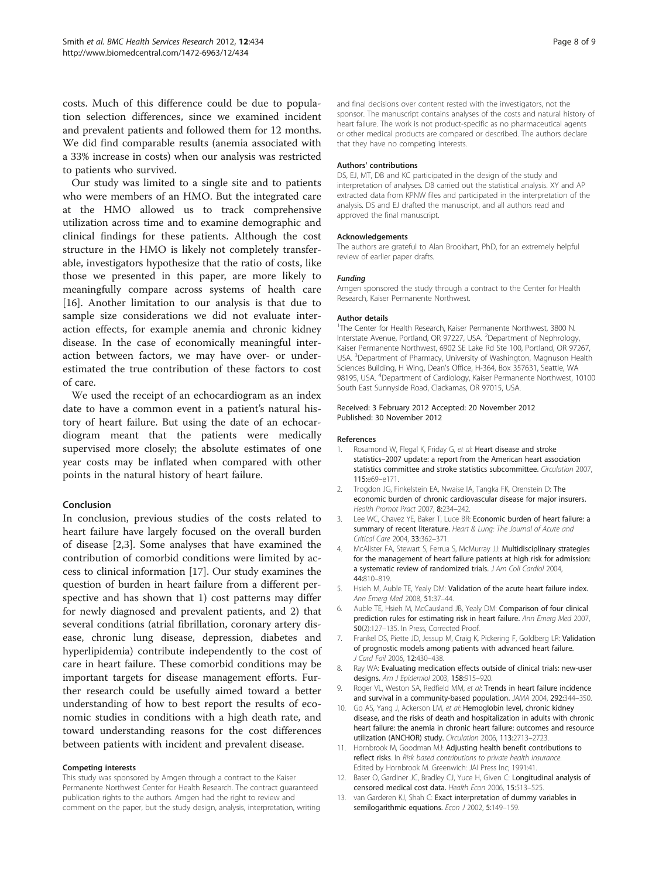<span id="page-7-0"></span>costs. Much of this difference could be due to population selection differences, since we examined incident and prevalent patients and followed them for 12 months. We did find comparable results (anemia associated with a 33% increase in costs) when our analysis was restricted to patients who survived.

Our study was limited to a single site and to patients who were members of an HMO. But the integrated care at the HMO allowed us to track comprehensive utilization across time and to examine demographic and clinical findings for these patients. Although the cost structure in the HMO is likely not completely transferable, investigators hypothesize that the ratio of costs, like those we presented in this paper, are more likely to meaningfully compare across systems of health care [[16\]](#page-8-0). Another limitation to our analysis is that due to sample size considerations we did not evaluate interaction effects, for example anemia and chronic kidney disease. In the case of economically meaningful interaction between factors, we may have over- or underestimated the true contribution of these factors to cost of care.

We used the receipt of an echocardiogram as an index date to have a common event in a patient's natural history of heart failure. But using the date of an echocardiogram meant that the patients were medically supervised more closely; the absolute estimates of one year costs may be inflated when compared with other points in the natural history of heart failure.

### Conclusion

In conclusion, previous studies of the costs related to heart failure have largely focused on the overall burden of disease [2,3]. Some analyses that have examined the contribution of comorbid conditions were limited by access to clinical information [[17\]](#page-8-0). Our study examines the question of burden in heart failure from a different perspective and has shown that 1) cost patterns may differ for newly diagnosed and prevalent patients, and 2) that several conditions (atrial fibrillation, coronary artery disease, chronic lung disease, depression, diabetes and hyperlipidemia) contribute independently to the cost of care in heart failure. These comorbid conditions may be important targets for disease management efforts. Further research could be usefully aimed toward a better understanding of how to best report the results of economic studies in conditions with a high death rate, and toward understanding reasons for the cost differences between patients with incident and prevalent disease.

### Competing interests

This study was sponsored by Amgen through a contract to the Kaiser Permanente Northwest Center for Health Research. The contract guaranteed publication rights to the authors. Amgen had the right to review and comment on the paper, but the study design, analysis, interpretation, writing

and final decisions over content rested with the investigators, not the sponsor. The manuscript contains analyses of the costs and natural history of heart failure. The work is not product-specific as no pharmaceutical agents or other medical products are compared or described. The authors declare that they have no competing interests.

### Authors' contributions

DS, EJ, MT, DB and KC participated in the design of the study and interpretation of analyses. DB carried out the statistical analysis. XY and AP extracted data from KPNW files and participated in the interpretation of the analysis. DS and EJ drafted the manuscript, and all authors read and approved the final manuscript.

#### Acknowledgements

The authors are grateful to Alan Brookhart, PhD, for an extremely helpful review of earlier paper drafts.

### Funding

Amgen sponsored the study through a contract to the Center for Health Research, Kaiser Permanente Northwest.

### Author details

<sup>1</sup>The Center for Health Research, Kaiser Permanente Northwest, 3800 N. Interstate Avenue, Portland, OR 97227, USA. <sup>2</sup>Department of Nephrology, Kaiser Permanente Northwest, 6902 SE Lake Rd Ste 100, Portland, OR 97267, USA. <sup>3</sup>Department of Pharmacy, University of Washington, Magnuson Health Sciences Building, H Wing, Dean's Office, H-364, Box 357631, Seattle, WA 98195, USA. <sup>4</sup>Department of Cardiology, Kaiser Permanente Northwest, 10100 South East Sunnyside Road, Clackamas, OR 97015, USA.

### Received: 3 February 2012 Accepted: 20 November 2012 Published: 30 November 2012

### References

- 1. Rosamond W, Flegal K, Friday G, et al: Heart disease and stroke statistics–2007 update: a report from the American heart association statistics committee and stroke statistics subcommittee. Circulation 2007, 115:e69–e171.
- 2. Trogdon JG, Finkelstein EA, Nwaise IA, Tangka FK, Orenstein D: The economic burden of chronic cardiovascular disease for major insurers. Health Promot Pract 2007, 8:234–242.
- 3. Lee WC, Chavez YE, Baker T, Luce BR: Economic burden of heart failure: a summary of recent literature. Heart & Lung: The Journal of Acute and Critical Care 2004, 33:362–371.
- 4. McAlister FA, Stewart S, Ferrua S, McMurray JJ: Multidisciplinary strategies for the management of heart failure patients at high risk for admission: a systematic review of randomized trials. J Am Coll Cardiol 2004, 44:810–819.
- 5. Hsieh M, Auble TE, Yealy DM: Validation of the acute heart failure index. Ann Emerg Med 2008, 51:37–44.
- 6. Auble TE, Hsieh M, McCausland JB, Yealy DM: Comparison of four clinical prediction rules for estimating risk in heart failure. Ann Emerg Med 2007, 50(2):127–135. In Press, Corrected Proof.
- 7. Frankel DS, Piette JD, Jessup M, Craig K, Pickering F, Goldberg LR: Validation of prognostic models among patients with advanced heart failure. J Card Fail 2006, 12:430–438.
- 8. Ray WA: Evaluating medication effects outside of clinical trials: new-user designs. Am J Epidemiol 2003, 158:915–920.
- 9. Roger VL, Weston SA, Redfield MM, et al: Trends in heart failure incidence and survival in a community-based population. JAMA 2004, 292:344–350.
- 10. Go AS, Yang J, Ackerson LM, et al: Hemoglobin level, chronic kidney disease, and the risks of death and hospitalization in adults with chronic heart failure: the anemia in chronic heart failure: outcomes and resource utilization (ANCHOR) study. Circulation 2006, 113:2713–2723.
- 11. Hornbrook M, Goodman MJ: Adjusting health benefit contributions to reflect risks. In Risk based contributions to private health insurance. Edited by Hornbrook M. Greenwich: JAI Press Inc; 1991:41.
- 12. Baser O, Gardiner JC, Bradley CJ, Yuce H, Given C: Longitudinal analysis of censored medical cost data. Health Econ 2006, 15:513–525.
- 13. van Garderen KJ, Shah C: Exact interpretation of dummy variables in semilogarithmic equations. Econ J 2002, 5:149-159.